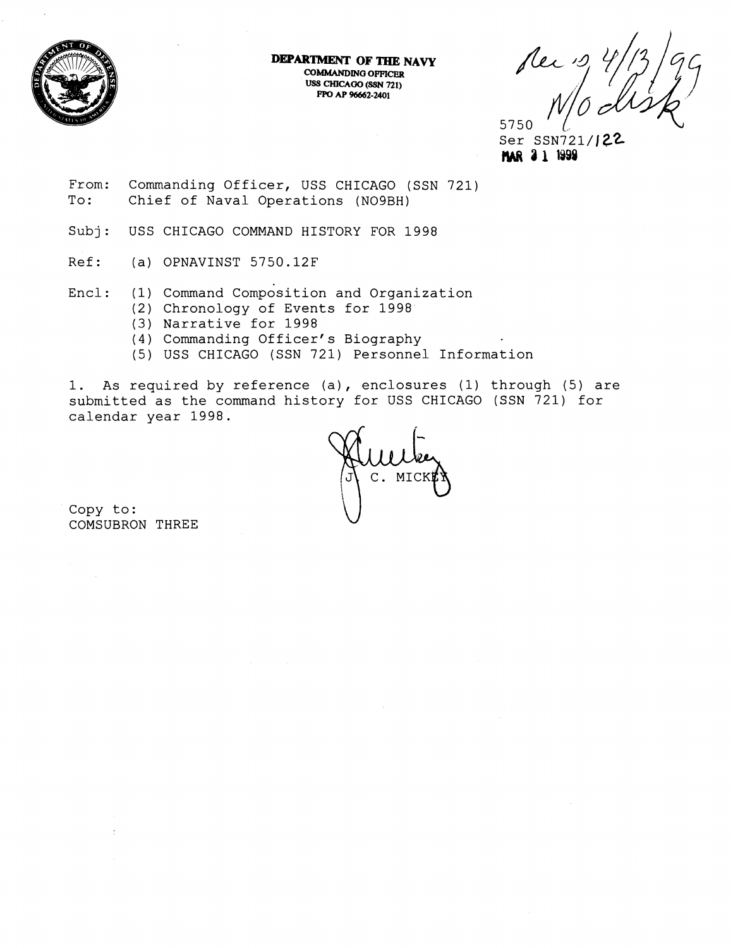

**DEPARTMENT OF THE NAVY COMMANDING OFFICER USS CHICAOO (SSN 721) PPO AP 96662-2401** 

5750

Ser SSN721/12 **3 1 1Y98** 

From: Commanding Officer, USS CHICAGO (SSN 721)<br>To: Chief of Naval Operations (NO9BH) Chief of Naval Operations (NO9BH)

Subj: USS CHICAGO COMMAND HISTORY FOR 1998

- Ref: (a) OPNAVINST 5750.12F
- Encl: (1) Command Composition and Organization
	- (2) Chronology of Events for 1998
	- (3) Narrative for 1998
	- (4) Commanding Officer's Biography
	- (5) USS CHICAGO (SSN 721) Personnel Information

1. As required by reference (a), enclosures (1) through (5) are submitted as the command history for USS CHICAGO (SSN 721) for calendar year 1998.

 $M<sub>I</sub>$ 

Copy to: COMSUBRON THREE

 $\overline{1}$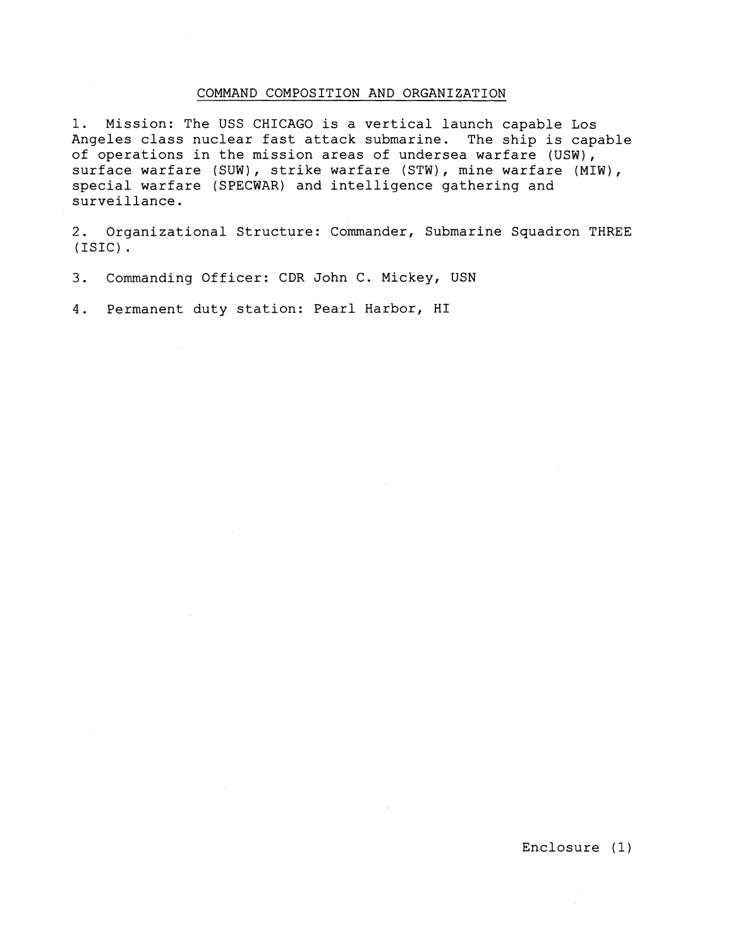## COMMAND COMPOSITION AND ORGANIZATION

1. Mission: The USS CHICAGO is a vertical launch capable Los Angeles class nuclear fast attack submarine. The ship is capable of operations in the mission areas of undersea warfare (USW), surface warfare (SUW), strike warfare (STW), mine warfare (MIW), special warfare (SPECWAR) and intelligence gathering and surveillance.

2. Organizational Structure: Commander, Submarine Squadron THREE (ISIC) .

3. Commanding Officer: CDR John C. Mickey, USN

4. Permanent duty station: Pearl Harbor, HI

Enclosure (1)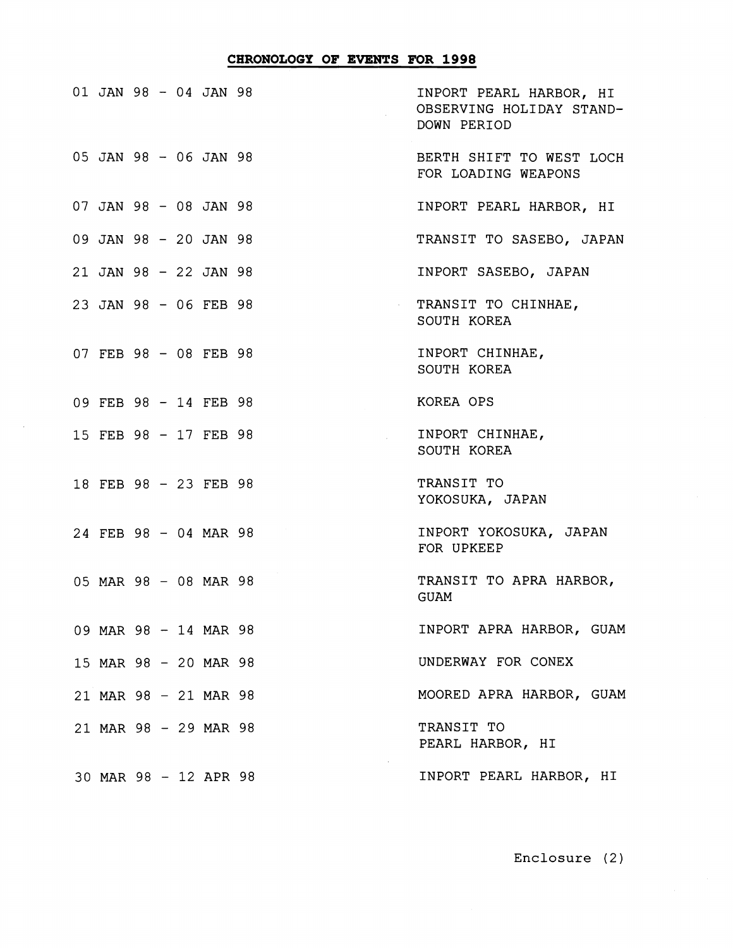## CHRONOLOGY OF EVENTS FOR 1998

|  |  | 01 JAN 98 - 04 JAN 98 |                | INPORT PEARL HARBOR, HI<br>OBSERVING HOLIDAY STAND-<br>DOWN PERIOD |
|--|--|-----------------------|----------------|--------------------------------------------------------------------|
|  |  | 05 JAN 98 - 06 JAN 98 |                | BERTH SHIFT TO WEST LOCH<br>FOR LOADING WEAPONS                    |
|  |  | 07 JAN 98 - 08 JAN 98 |                | INPORT PEARL HARBOR, HI                                            |
|  |  | 09 JAN 98 - 20 JAN 98 |                | TRANSIT TO SASEBO, JAPAN                                           |
|  |  | 21 JAN 98 - 22 JAN 98 |                | INPORT SASEBO, JAPAN                                               |
|  |  | 23 JAN 98 - 06 FEB 98 | $\sim 10^{-1}$ | TRANSIT TO CHINHAE,<br>SOUTH KOREA                                 |
|  |  | 07 FEB 98 - 08 FEB 98 |                | INPORT CHINHAE,<br>SOUTH KOREA                                     |
|  |  | 09 FEB 98 - 14 FEB 98 |                | KOREA OPS                                                          |
|  |  | 15 FEB 98 - 17 FEB 98 |                | INPORT CHINHAE,<br>SOUTH KOREA                                     |
|  |  | 18 FEB 98 - 23 FEB 98 |                | TRANSIT TO<br>YOKOSUKA, JAPAN                                      |
|  |  | 24 FEB 98 - 04 MAR 98 |                | INPORT YOKOSUKA, JAPAN<br>FOR UPKEEP                               |
|  |  | 05 MAR 98 - 08 MAR 98 |                | TRANSIT TO APRA HARBOR,<br><b>GUAM</b>                             |
|  |  | 09 MAR 98 - 14 MAR 98 |                | INPORT APRA HARBOR, GUAM                                           |
|  |  | 15 MAR 98 - 20 MAR 98 |                | UNDERWAY FOR CONEX                                                 |
|  |  | 21 MAR 98 - 21 MAR 98 |                | MOORED APRA HARBOR, GUAM                                           |
|  |  | 21 MAR 98 - 29 MAR 98 |                | TRANSIT TO<br>PEARL HARBOR, HI                                     |
|  |  | 30 MAR 98 - 12 APR 98 |                | INPORT PEARL HARBOR, HI                                            |

 $\sim$ 

Enclosure (2)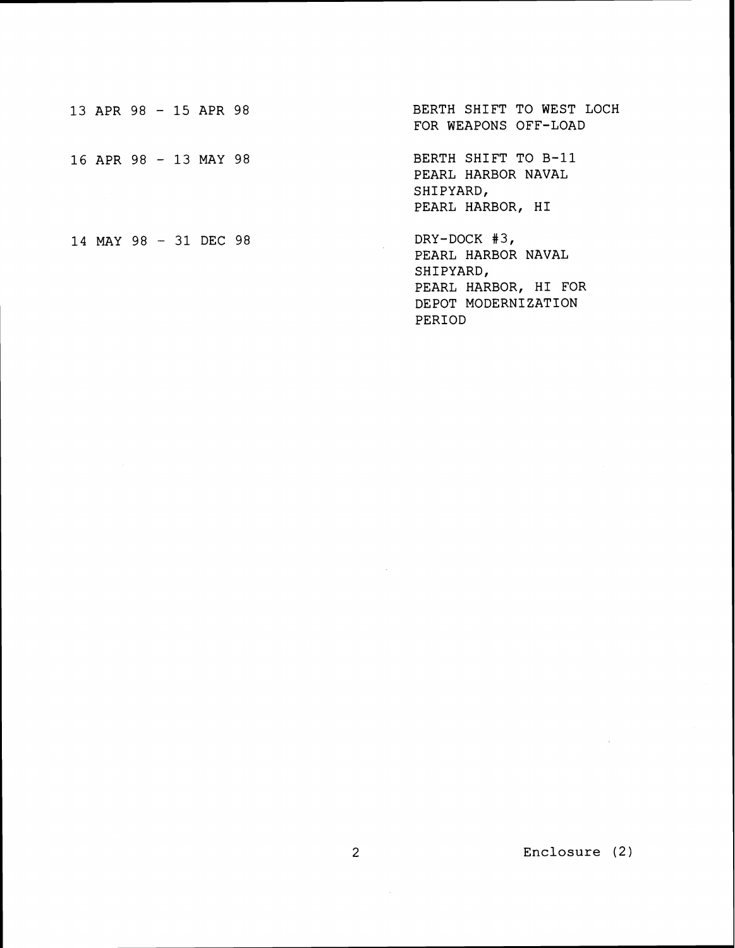|  | 13 APR 98 - 15 APR 98 |  | BERTH SHIFT TO WEST LOCH<br>FOR WEAPONS OFF-LOAD                                                  |
|--|-----------------------|--|---------------------------------------------------------------------------------------------------|
|  | 16 APR 98 - 13 MAY 98 |  | BERTH SHIFT TO B-11<br>PEARL HARBOR NAVAL<br>SHIPYARD,<br>PEARL HARBOR, HI                        |
|  | 14 MAY 98 - 31 DEC 98 |  | DRY-DOCK $#3$ ,<br>PEARL HARBOR NAVAL<br>SHIPYARD,<br>PEARL HARBOR, HI FOR<br>DEPOT MODERNIZATION |

PERIOD

 $\sim 10$ 

 $\sim 10^{-10}$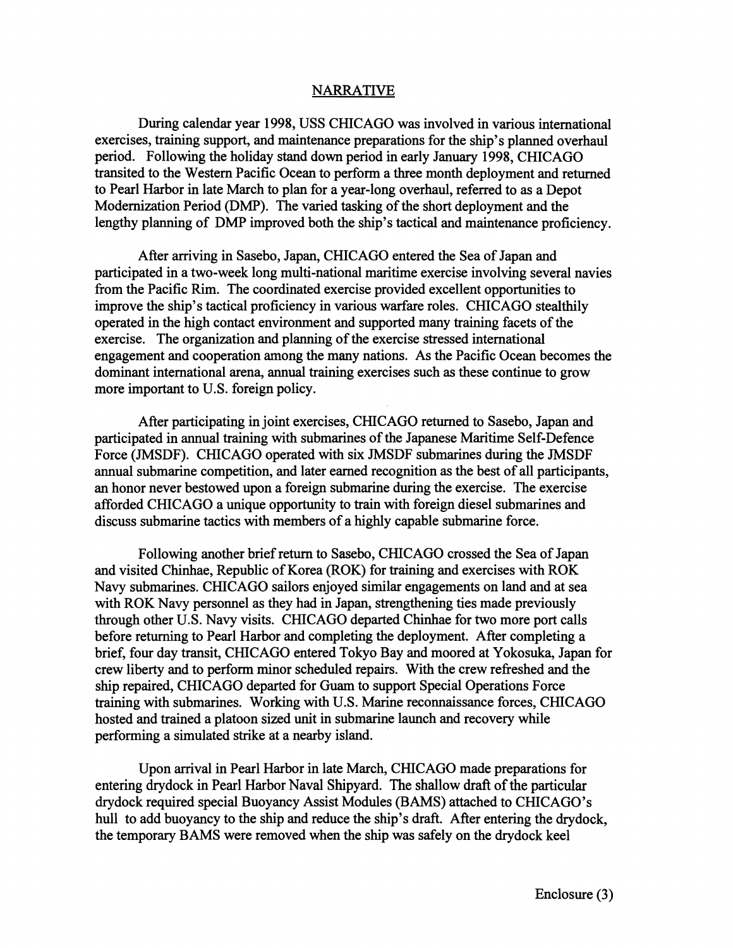## NARRATIVE

During calendar year 1998, USS CHICAGO was involved in various international exercises, training support, and maintenance preparations for the ship's planned overhaul period. Following the holiday stand down period in early January 1998, CHICAGO transited to the Western Pacific Ocean to perform a three month deployment and returned to Pearl Harbor in late March to plan for a year-long overhaul, referred to as a Depot Modernization Period (DMP). The varied tasking of the short deployment and the lengthy planning of DMP improved both the ship's tactical and maintenance proficiency.

After arriving in Sasebo, Japan, CHICAGO entered the Sea of Japan and participated in a two-week long multi-national maritime exercise involving several navies from the Pacific Rim. The coordinated exercise provided excellent opportunities to improve the ship's tactical proficiency in various warfare roles. CHICAGO stealthily operated in the high contact environment and supported many training facets of the exercise. The organization and planning of the exercise stressed international engagement and cooperation among the many nations. As the Pacific Ocean becomes the dominant international arena, annual training exercises such as these continue to grow more important to U.S. foreign policy.

After participating in joint exercises, CHICAGO returned to Sasebo, Japan and participated in annual training with submarines of the Japanese Maritime Self-Defence Force (JMSDF). CHICAGO operated with six JMSDF submarines during the JMSDF annual submarine competition, and later earned recognition as the best of all participants, an honor never bestowed upon a foreign submarine during the exercise. The exercise afforded CHICAGO a unique opportunity to train with foreign diesel submarines and discuss submarine tactics with members of a highly capable submarine force.

Following another brief return to Sasebo, CHICAGO crossed the Sea of Japan and visited Chinhae, Republic of Korea (ROK) for training and exercises with ROK Navy submarines. CHICAGO sailors enjoyed similar engagements on land and at sea with ROK Navy personnel as they had in Japan, strengthening ties made previously through other U.S. Navy visits. CHICAGO departed Chinhae for two more port calls before returning to Pearl Harbor and completing the deployment. After completing a brief, four day transit, CHICAGO entered Tokyo Bay and moored at Yokosuka, Japan for crew liberty and to perform minor scheduled repairs. With the crew refreshed and the ship repaired, CHICAGO departed for Guam to support Special Operations Force training with submarines. Working with U.S. Marine reconnaissance forces, CHICAGO hosted and trained a platoon sized unit in submarine launch and recovery while performing a simulated strike at a nearby island.

Upon arrival in Pearl Harbor in late March, CHICAGO made preparations for entering drydock in Pearl Harbor Naval Shipyard. The shallow draft of the particular drydock required special Buoyancy Assist Modules (BAMS) attached to CHICAGO'S hull to add buoyancy to the ship and reduce the ship's draft. After entering the drydock, the temporary BAMS were removed when the ship was safely on the drydock keel